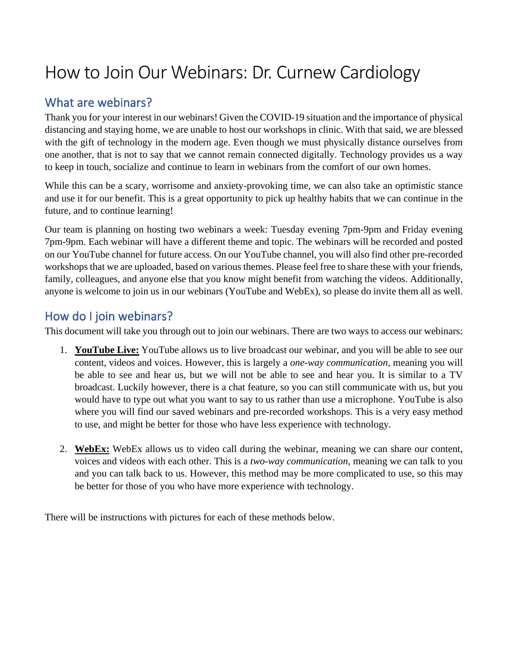# How to Join Our Webinars: Dr. Curnew Cardiology

### What are webinars?

Thank you for your interest in our webinars! Given the COVID-19 situation and the importance of physical distancing and staying home, we are unable to host our workshops in clinic. With that said, we are blessed with the gift of technology in the modern age. Even though we must physically distance ourselves from one another, that is not to say that we cannot remain connected digitally. Technology provides us a way to keep in touch, socialize and continue to learn in webinars from the comfort of our own homes.

While this can be a scary, worrisome and anxiety-provoking time, we can also take an optimistic stance and use it for our benefit. This is a great opportunity to pick up healthy habits that we can continue in the future, and to continue learning!

Our team is planning on hosting two webinars a week: Tuesday evening 7pm-9pm and Friday evening 7pm-9pm. Each webinar will have a different theme and topic. The webinars will be recorded and posted on our YouTube channel for future access. On our YouTube channel, you will also find other pre-recorded workshops that we are uploaded, based on various themes. Please feel free to share these with your friends, family, colleagues, and anyone else that you know might benefit from watching the videos. Additionally, anyone is welcome to join us in our webinars (YouTube and WebEx), so please do invite them all as well.

#### How do I join webinars?

This document will take you through out to join our webinars. There are two ways to access our webinars:

- 1. **YouTube Live:** YouTube allows us to live broadcast our webinar, and you will be able to see our content, videos and voices. However, this is largely a *one-way communication*, meaning you will be able to see and hear us, but we will not be able to see and hear you. It is similar to a TV broadcast. Luckily however, there is a chat feature, so you can still communicate with us, but you would have to type out what you want to say to us rather than use a microphone. YouTube is also where you will find our saved webinars and pre-recorded workshops. This is a very easy method to use, and might be better for those who have less experience with technology.
- 2. **WebEx:** WebEx allows us to video call during the webinar, meaning we can share our content, voices and videos with each other. This is a *two-way communication*, meaning we can talk to you and you can talk back to us. However, this method may be more complicated to use, so this may be better for those of you who have more experience with technology.

There will be instructions with pictures for each of these methods below.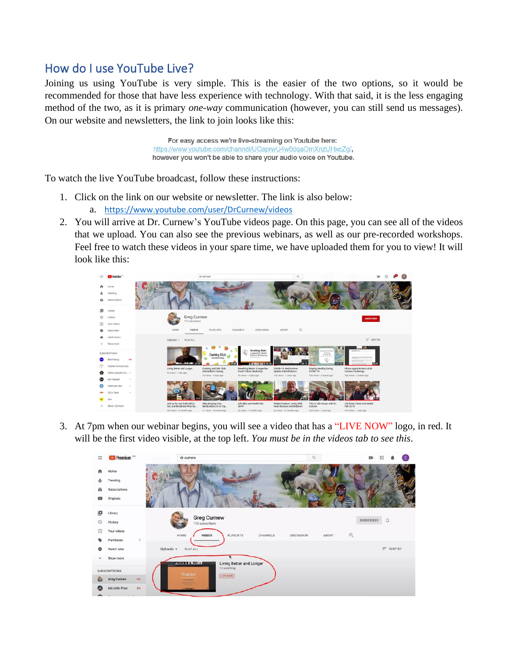## How do I use YouTube Live?

Joining us using YouTube is very simple. This is the easier of the two options, so it would be recommended for those that have less experience with technology. With that said, it is the less engaging method of the two, as it is primary *one-way* communication (however, you can still send us messages). On our website and newsletters, the link to join looks like this:

> For easy access we're live-streaming on Youtube here: https://www.youtube.com/channel/UCaprwU4w8dqaOmXnzUHxeZq/, however you won't be able to share your audio voice on Youtube.

To watch the live YouTube broadcast, follow these instructions:

- 1. Click on the link on our website or newsletter. The link is also below:
	- a. <https://www.youtube.com/user/DrCurnew/videos>
- 2. You will arrive at Dr. Curnew's YouTube videos page. On this page, you can see all of the videos that we upload. You can also see the previous webinars, as well as our pre-recorded workshops. Feel free to watch these videos in your spare time, we have uploaded them for you to view! It will look like this:



3. At 7pm when our webinar begins, you will see a video that has a "LIVE NOW" logo, in red. It will be the first video visible, at the top left. *You must be in the videos tab to see this*.

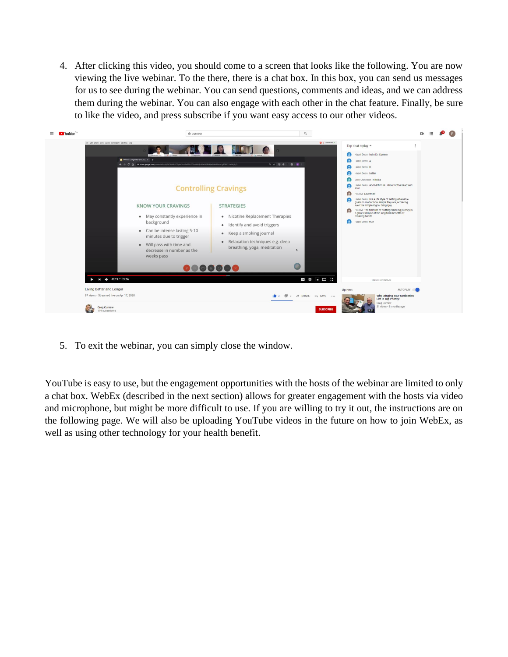4. After clicking this video, you should come to a screen that looks like the following. You are now viewing the live webinar. To the there, there is a chat box. In this box, you can send us messages for us to see during the webinar. You can send questions, comments and ideas, and we can address them during the webinar. You can also engage with each other in the chat feature. Finally, be sure to like the video, and press subscribe if you want easy access to our other videos.



5. To exit the webinar, you can simply close the window.

YouTube is easy to use, but the engagement opportunities with the hosts of the webinar are limited to only a chat box. WebEx (described in the next section) allows for greater engagement with the hosts via video and microphone, but might be more difficult to use. If you are willing to try it out, the instructions are on the following page. We will also be uploading YouTube videos in the future on how to join WebEx, as well as using other technology for your health benefit.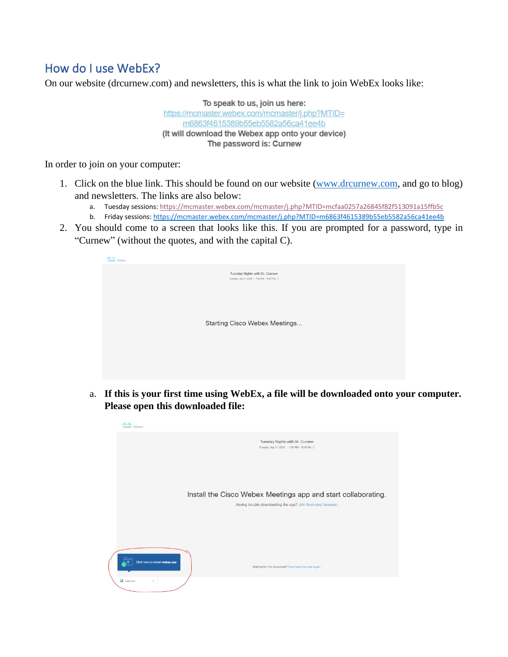## How do I use WebEx?

On our website (drcurnew.com) and newsletters, this is what the link to join WebEx looks like:

To speak to us, join us here: https://mcmaster.webex.com/mcmaster/j.php?MTID= m6863f4615389b55eb5582a56ca41ee4b (It will download the Webex app onto your device) The password is: Curnew

In order to join on your computer:

- 1. Click on the blue link. This should be found on our website [\(www.drcurnew.com,](http://www.drcurnew.com/) and go to blog) and newsletters. The links are also below:
	- a. Tuesday sessions:<https://mcmaster.webex.com/mcmaster/j.php?MTID=mcfaa0257a26845f82f513091a15ffb5c>
	- b. Friday sessions:<https://mcmaster.webex.com/mcmaster/j.php?MTID=m6863f4615389b55eb5582a56ca41ee4b>
- 2. You should come to a screen that looks like this. If you are prompted for a password, type in "Curnew" (without the quotes, and with the capital C).



a. **If this is your first time using WebEx, a file will be downloaded onto your computer. Please open this downloaded file:**